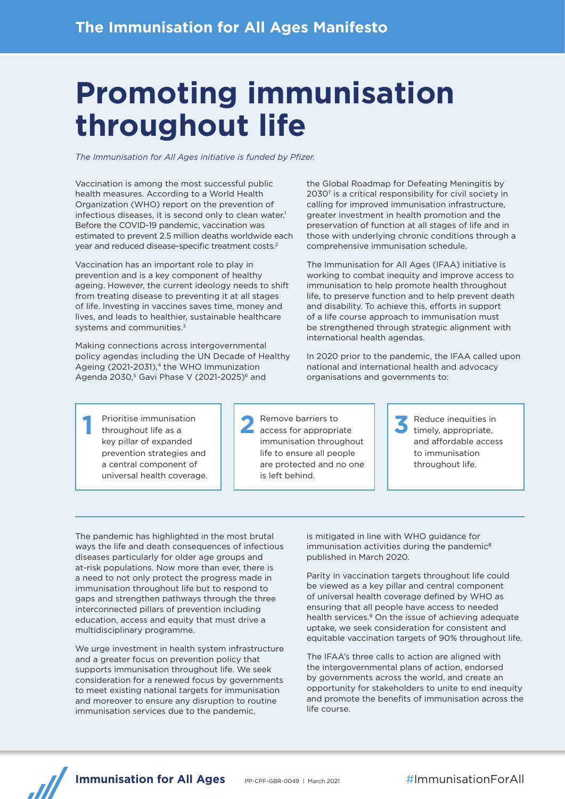# **Promoting immunisation throughout life**

*The Immunisation for All Ages initiative is funded by Pfizer.*

Vaccination is among the most successful public health measures. According to a World Health Organization (WHO) report on the prevention of infectious diseases, it is second only to clean water.<sup>1</sup> Before the COVID-19 pandemic, vaccination was estimated to prevent 2.5 million deaths worldwide each year and reduced disease-specific treatment costs.2

Vaccination has an important role to play in prevention and is a key component of healthy ageing. However, the current ideology needs to shift from treating disease to preventing it at all stages of life. Investing in vaccines saves time, money and lives, and leads to healthier, sustainable healthcare systems and communities.<sup>3</sup>

Making connections across intergovernmental policy agendas including the UN Decade of Healthy Ageing (2021-2031),<sup>4</sup> the WHO Immunization Agenda 2030,<sup>5</sup> Gavi Phase V (2021-2025)<sup>6</sup> and

the Global Roadmap for Defeating Meningitis by 2030<sup>7</sup> is a critical responsibility for civil society in calling for improved immunisation infrastructure, greater investment in health promotion and the preservation of function at all stages of life and in those with underlying chronic conditions through a comprehensive immunisation schedule.

The Immunisation for All Ages (IFAA) initiative is working to combat inequity and improve access to immunisation to help promote health throughout life, to preserve function and to help prevent death and disability. To achieve this, efforts in support of a life course approach to immunisation must be strengthened through strategic alignment with international health agendas.

In 2020 prior to the pandemic, the IFAA called upon national and international health and advocacy organisations and governments to:

**1** Prioritise immunisation throughout life as a key pillar of expanded prevention strategies and a central component of universal health coverage. **2** Remove barriers to access for appropriate immunisation throughout life to ensure all people are protected and no one is left behind.

**3** Reduce inequities in timely, appropriate, and affordable access to immunisation throughout life.

The pandemic has highlighted in the most brutal ways the life and death consequences of infectious diseases particularly for older age groups and at-risk populations. Now more than ever, there is a need to not only protect the progress made in immunisation throughout life but to respond to gaps and strengthen pathways through the three interconnected pillars of prevention including education, access and equity that must drive a multidisciplinary programme.

We urge investment in health system infrastructure and a greater focus on prevention policy that supports immunisation throughout life. We seek consideration for a renewed focus by governments to meet existing national targets for immunisation and moreover to ensure any disruption to routine immunisation services due to the pandemic,

is mitigated in line with WHO guidance for immunisation activities during the pandemic<sup>8</sup> published in March 2020.

Parity in vaccination targets throughout life could be viewed as a key pillar and central component of universal health coverage defined by WHO as ensuring that all people have access to needed health services.<sup>9</sup> On the issue of achieving adequate uptake, we seek consideration for consistent and equitable vaccination targets of 90% throughout life.

The IFAA's three calls to action are aligned with the intergovernmental plans of action, endorsed by governments across the world, and create an opportunity for stakeholders to unite to end inequity and promote the benefits of immunisation across the life course.

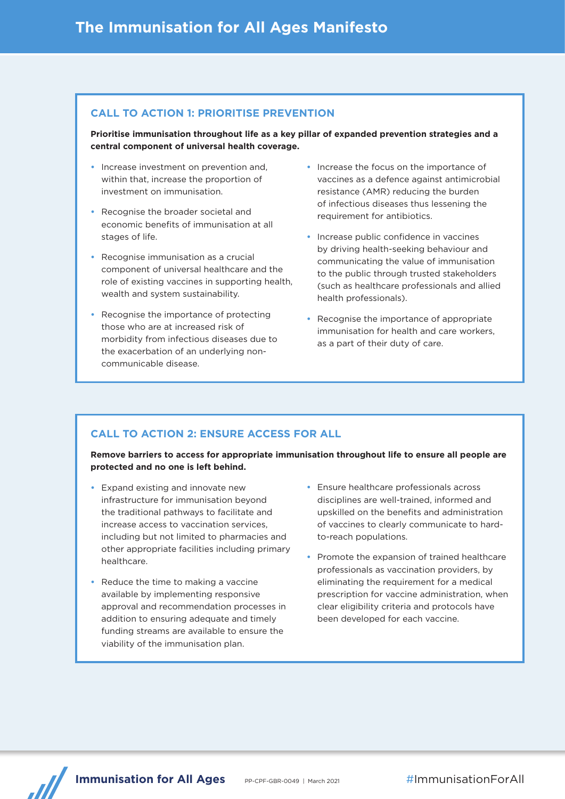### **CALL TO ACTION 1: PRIORITISE PREVENTION**

**Prioritise immunisation throughout life as a key pillar of expanded prevention strategies and a central component of universal health coverage.** 

- **•** Increase investment on prevention and, within that, increase the proportion of investment on immunisation.
- **•** Recognise the broader societal and economic benefits of immunisation at all stages of life.
- **•** Recognise immunisation as a crucial component of universal healthcare and the role of existing vaccines in supporting health, wealth and system sustainability.
- **•** Recognise the importance of protecting those who are at increased risk of morbidity from infectious diseases due to the exacerbation of an underlying noncommunicable disease.
- **•** Increase the focus on the importance of vaccines as a defence against antimicrobial resistance (AMR) reducing the burden of infectious diseases thus lessening the requirement for antibiotics.
- **•** Increase public confidence in vaccines by driving health-seeking behaviour and communicating the value of immunisation to the public through trusted stakeholders (such as healthcare professionals and allied health professionals).
- **•** Recognise the importance of appropriate immunisation for health and care workers, as a part of their duty of care.

## **CALL TO ACTION 2: ENSURE ACCESS FOR ALL**

**Remove barriers to access for appropriate immunisation throughout life to ensure all people are protected and no one is left behind.**

- **•** Expand existing and innovate new infrastructure for immunisation beyond the traditional pathways to facilitate and increase access to vaccination services, including but not limited to pharmacies and other appropriate facilities including primary healthcare.
- **•** Reduce the time to making a vaccine available by implementing responsive approval and recommendation processes in addition to ensuring adequate and timely funding streams are available to ensure the viability of the immunisation plan.
- **•** Ensure healthcare professionals across disciplines are well-trained, informed and upskilled on the benefits and administration of vaccines to clearly communicate to hardto-reach populations.
- **•** Promote the expansion of trained healthcare professionals as vaccination providers, by eliminating the requirement for a medical prescription for vaccine administration, when clear eligibility criteria and protocols have been developed for each vaccine.



**Immunisation for All Ages** PP-CPF-GBR-0049 | March 2021 #ImmunisationForAll